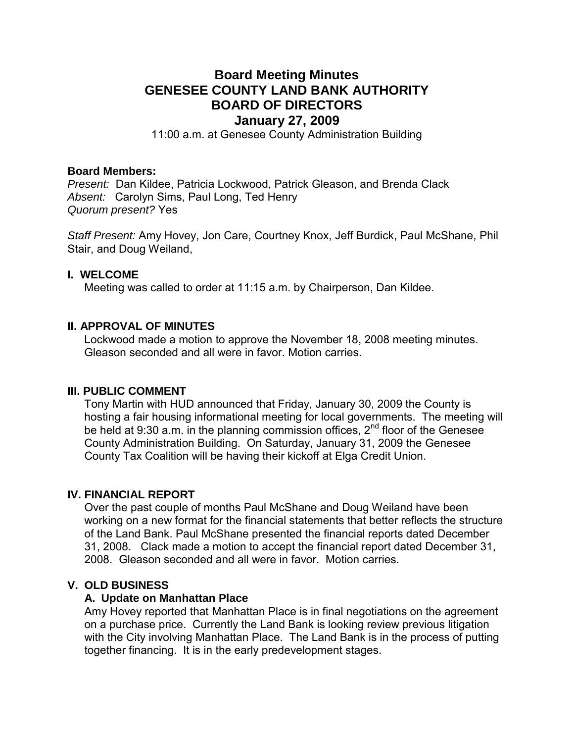# **Board Meeting Minutes GENESEE COUNTY LAND BANK AUTHORITY BOARD OF DIRECTORS January 27, 2009**

11:00 a.m. at Genesee County Administration Building

## **Board Members:**

*Present:* Dan Kildee, Patricia Lockwood, Patrick Gleason, and Brenda Clack *Absent:* Carolyn Sims, Paul Long, Ted Henry *Quorum present?* Yes

*Staff Present:* Amy Hovey, Jon Care, Courtney Knox, Jeff Burdick, Paul McShane, Phil Stair, and Doug Weiland,

## **I. WELCOME**

Meeting was called to order at 11:15 a.m. by Chairperson, Dan Kildee.

## **II. APPROVAL OF MINUTES**

Lockwood made a motion to approve the November 18, 2008 meeting minutes. Gleason seconded and all were in favor. Motion carries.

#### **III. PUBLIC COMMENT**

Tony Martin with HUD announced that Friday, January 30, 2009 the County is hosting a fair housing informational meeting for local governments. The meeting will be held at 9:30 a.m. in the planning commission offices,  $2^{nd}$  floor of the Genesee County Administration Building. On Saturday, January 31, 2009 the Genesee County Tax Coalition will be having their kickoff at Elga Credit Union.

## **IV. FINANCIAL REPORT**

Over the past couple of months Paul McShane and Doug Weiland have been working on a new format for the financial statements that better reflects the structure of the Land Bank. Paul McShane presented the financial reports dated December 31, 2008. Clack made a motion to accept the financial report dated December 31, 2008. Gleason seconded and all were in favor. Motion carries.

## **V. OLD BUSINESS**

#### **A. Update on Manhattan Place**

Amy Hovey reported that Manhattan Place is in final negotiations on the agreement on a purchase price. Currently the Land Bank is looking review previous litigation with the City involving Manhattan Place. The Land Bank is in the process of putting together financing. It is in the early predevelopment stages.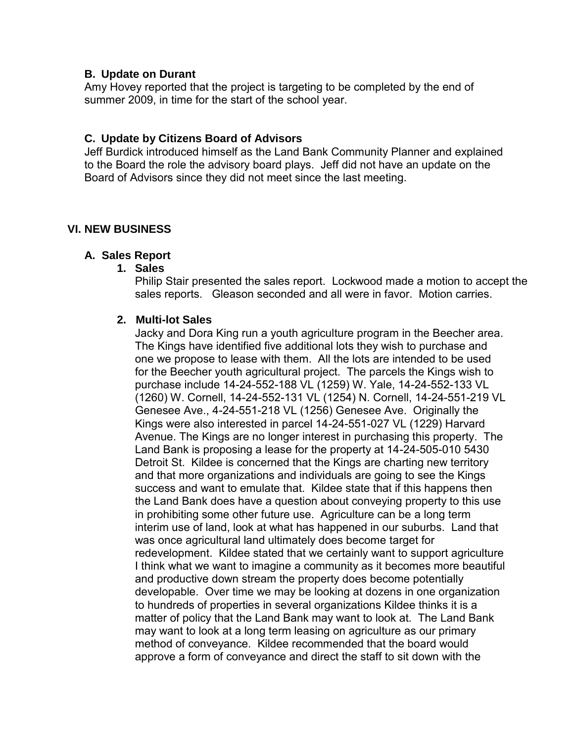## **B. Update on Durant**

Amy Hovey reported that the project is targeting to be completed by the end of summer 2009, in time for the start of the school year.

# **C. Update by Citizens Board of Advisors**

Jeff Burdick introduced himself as the Land Bank Community Planner and explained to the Board the role the advisory board plays. Jeff did not have an update on the Board of Advisors since they did not meet since the last meeting.

# **VI. NEW BUSINESS**

## **A. Sales Report**

## **1. Sales**

Philip Stair presented the sales report. Lockwood made a motion to accept the sales reports. Gleason seconded and all were in favor. Motion carries.

## **2. Multi-lot Sales**

Jacky and Dora King run a youth agriculture program in the Beecher area. The Kings have identified five additional lots they wish to purchase and one we propose to lease with them. All the lots are intended to be used for the Beecher youth agricultural project. The parcels the Kings wish to purchase include 14-24-552-188 VL (1259) W. Yale, 14-24-552-133 VL (1260) W. Cornell, 14-24-552-131 VL (1254) N. Cornell, 14-24-551-219 VL Genesee Ave., 4-24-551-218 VL (1256) Genesee Ave. Originally the Kings were also interested in parcel 14-24-551-027 VL (1229) Harvard Avenue. The Kings are no longer interest in purchasing this property. The Land Bank is proposing a lease for the property at 14-24-505-010 5430 Detroit St. Kildee is concerned that the Kings are charting new territory and that more organizations and individuals are going to see the Kings success and want to emulate that. Kildee state that if this happens then the Land Bank does have a question about conveying property to this use in prohibiting some other future use. Agriculture can be a long term interim use of land, look at what has happened in our suburbs. Land that was once agricultural land ultimately does become target for redevelopment. Kildee stated that we certainly want to support agriculture I think what we want to imagine a community as it becomes more beautiful and productive down stream the property does become potentially developable. Over time we may be looking at dozens in one organization to hundreds of properties in several organizations Kildee thinks it is a matter of policy that the Land Bank may want to look at. The Land Bank may want to look at a long term leasing on agriculture as our primary method of conveyance. Kildee recommended that the board would approve a form of conveyance and direct the staff to sit down with the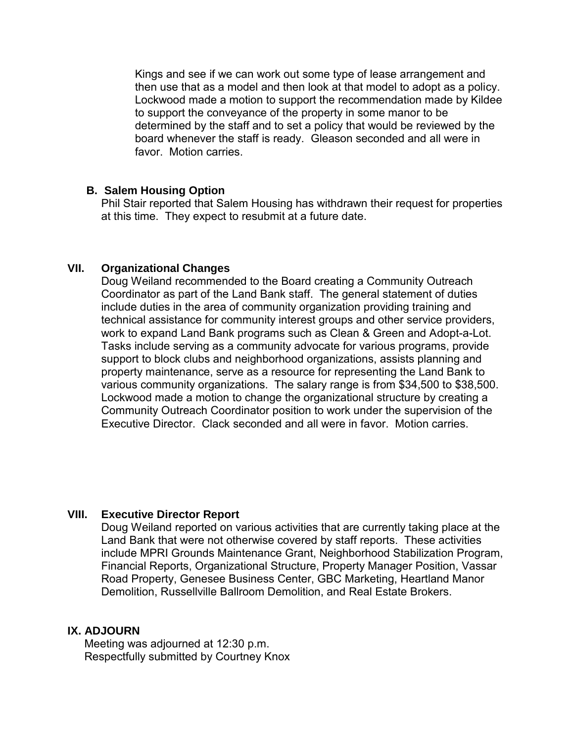Kings and see if we can work out some type of lease arrangement and then use that as a model and then look at that model to adopt as a policy. Lockwood made a motion to support the recommendation made by Kildee to support the conveyance of the property in some manor to be determined by the staff and to set a policy that would be reviewed by the board whenever the staff is ready. Gleason seconded and all were in favor. Motion carries.

## **B. Salem Housing Option**

Phil Stair reported that Salem Housing has withdrawn their request for properties at this time. They expect to resubmit at a future date.

## **VII. Organizational Changes**

Doug Weiland recommended to the Board creating a Community Outreach Coordinator as part of the Land Bank staff. The general statement of duties include duties in the area of community organization providing training and technical assistance for community interest groups and other service providers, work to expand Land Bank programs such as Clean & Green and Adopt-a-Lot. Tasks include serving as a community advocate for various programs, provide support to block clubs and neighborhood organizations, assists planning and property maintenance, serve as a resource for representing the Land Bank to various community organizations. The salary range is from \$34,500 to \$38,500. Lockwood made a motion to change the organizational structure by creating a Community Outreach Coordinator position to work under the supervision of the Executive Director. Clack seconded and all were in favor. Motion carries.

# **VIII. Executive Director Report**

Doug Weiland reported on various activities that are currently taking place at the Land Bank that were not otherwise covered by staff reports. These activities include MPRI Grounds Maintenance Grant, Neighborhood Stabilization Program, Financial Reports, Organizational Structure, Property Manager Position, Vassar Road Property, Genesee Business Center, GBC Marketing, Heartland Manor Demolition, Russellville Ballroom Demolition, and Real Estate Brokers.

# **IX. ADJOURN**

Meeting was adjourned at 12:30 p.m. Respectfully submitted by Courtney Knox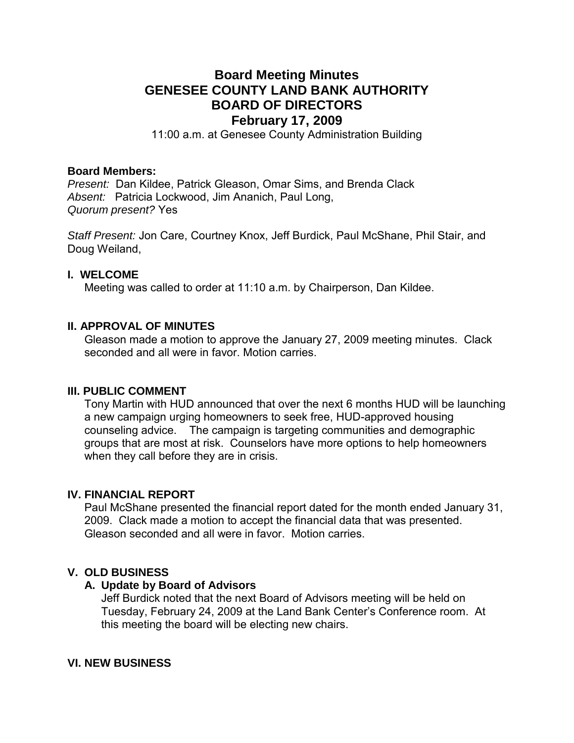# **Board Meeting Minutes GENESEE COUNTY LAND BANK AUTHORITY BOARD OF DIRECTORS February 17, 2009**

11:00 a.m. at Genesee County Administration Building

## **Board Members:**

*Present:* Dan Kildee, Patrick Gleason, Omar Sims, and Brenda Clack *Absent:* Patricia Lockwood, Jim Ananich, Paul Long, *Quorum present?* Yes

*Staff Present:* Jon Care, Courtney Knox, Jeff Burdick, Paul McShane, Phil Stair, and Doug Weiland,

#### **I. WELCOME**

Meeting was called to order at 11:10 a.m. by Chairperson, Dan Kildee.

## **II. APPROVAL OF MINUTES**

Gleason made a motion to approve the January 27, 2009 meeting minutes. Clack seconded and all were in favor. Motion carries

#### **III. PUBLIC COMMENT**

Tony Martin with HUD announced that over the next 6 months HUD will be launching a new campaign urging homeowners to seek free, HUD-approved housing counseling advice. The campaign is targeting communities and demographic groups that are most at risk. Counselors have more options to help homeowners when they call before they are in crisis.

## **IV. FINANCIAL REPORT**

Paul McShane presented the financial report dated for the month ended January 31, 2009. Clack made a motion to accept the financial data that was presented. Gleason seconded and all were in favor. Motion carries.

## **V. OLD BUSINESS**

## **A. Update by Board of Advisors**

Jeff Burdick noted that the next Board of Advisors meeting will be held on Tuesday, February 24, 2009 at the Land Bank Center's Conference room. At this meeting the board will be electing new chairs.

## **VI. NEW BUSINESS**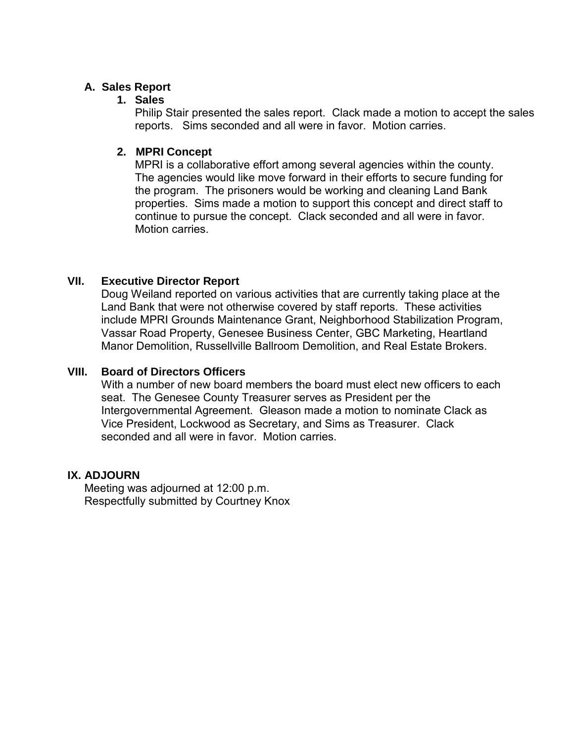# **A. Sales Report**

# **1. Sales**

Philip Stair presented the sales report. Clack made a motion to accept the sales reports. Sims seconded and all were in favor. Motion carries.

# **2. MPRI Concept**

MPRI is a collaborative effort among several agencies within the county. The agencies would like move forward in their efforts to secure funding for the program. The prisoners would be working and cleaning Land Bank properties. Sims made a motion to support this concept and direct staff to continue to pursue the concept. Clack seconded and all were in favor. Motion carries.

# **VII. Executive Director Report**

Doug Weiland reported on various activities that are currently taking place at the Land Bank that were not otherwise covered by staff reports. These activities include MPRI Grounds Maintenance Grant, Neighborhood Stabilization Program, Vassar Road Property, Genesee Business Center, GBC Marketing, Heartland Manor Demolition, Russellville Ballroom Demolition, and Real Estate Brokers.

# **VIII. Board of Directors Officers**

With a number of new board members the board must elect new officers to each seat. The Genesee County Treasurer serves as President per the Intergovernmental Agreement. Gleason made a motion to nominate Clack as Vice President, Lockwood as Secretary, and Sims as Treasurer. Clack seconded and all were in favor. Motion carries

# **IX. ADJOURN**

Meeting was adjourned at 12:00 p.m. Respectfully submitted by Courtney Knox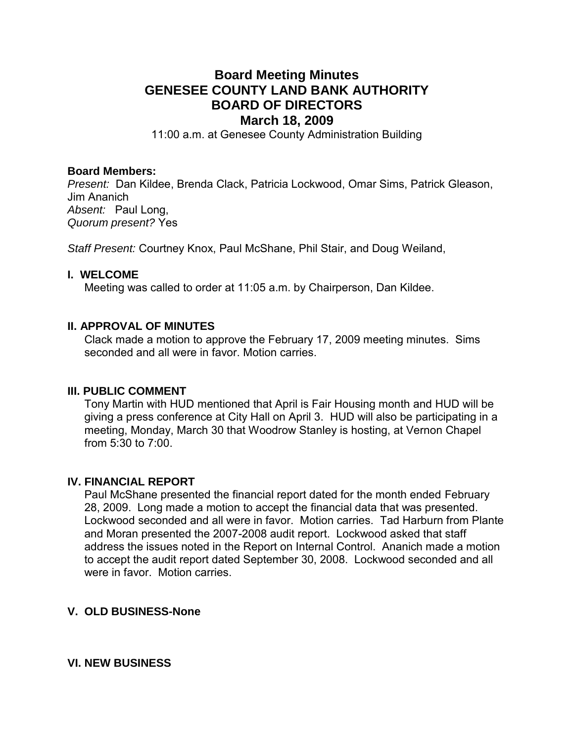# **Board Meeting Minutes GENESEE COUNTY LAND BANK AUTHORITY BOARD OF DIRECTORS March 18, 2009**

11:00 a.m. at Genesee County Administration Building

#### **Board Members:**

*Present:* Dan Kildee, Brenda Clack, Patricia Lockwood, Omar Sims, Patrick Gleason, Jim Ananich *Absent:* Paul Long, *Quorum present?* Yes

*Staff Present:* Courtney Knox, Paul McShane, Phil Stair, and Doug Weiland,

#### **I. WELCOME**

Meeting was called to order at 11:05 a.m. by Chairperson, Dan Kildee.

## **II. APPROVAL OF MINUTES**

Clack made a motion to approve the February 17, 2009 meeting minutes. Sims seconded and all were in favor. Motion carries

#### **III. PUBLIC COMMENT**

Tony Martin with HUD mentioned that April is Fair Housing month and HUD will be giving a press conference at City Hall on April 3. HUD will also be participating in a meeting, Monday, March 30 that Woodrow Stanley is hosting, at Vernon Chapel from 5:30 to 7:00.

## **IV. FINANCIAL REPORT**

Paul McShane presented the financial report dated for the month ended February 28, 2009. Long made a motion to accept the financial data that was presented. Lockwood seconded and all were in favor. Motion carries. Tad Harburn from Plante and Moran presented the 2007-2008 audit report. Lockwood asked that staff address the issues noted in the Report on Internal Control. Ananich made a motion to accept the audit report dated September 30, 2008. Lockwood seconded and all were in favor. Motion carries.

## **V. OLD BUSINESS-None**

#### **VI. NEW BUSINESS**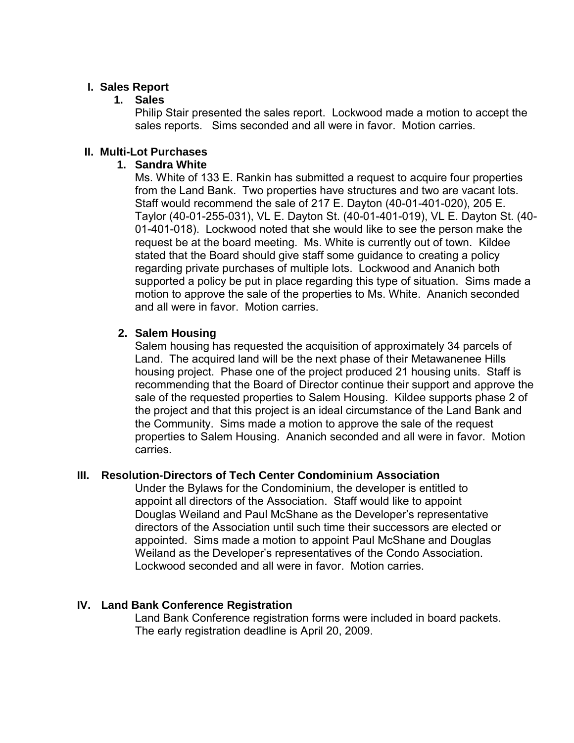# **I. Sales Report**

# **1. Sales**

Philip Stair presented the sales report. Lockwood made a motion to accept the sales reports. Sims seconded and all were in favor. Motion carries.

# **II. Multi-Lot Purchases**

## **1. Sandra White**

Ms. White of 133 E. Rankin has submitted a request to acquire four properties from the Land Bank. Two properties have structures and two are vacant lots. Staff would recommend the sale of 217 E. Dayton (40-01-401-020), 205 E. Taylor (40-01-255-031), VL E. Dayton St. (40-01-401-019), VL E. Dayton St. (40- 01-401-018). Lockwood noted that she would like to see the person make the request be at the board meeting. Ms. White is currently out of town. Kildee stated that the Board should give staff some guidance to creating a policy regarding private purchases of multiple lots. Lockwood and Ananich both supported a policy be put in place regarding this type of situation. Sims made a motion to approve the sale of the properties to Ms. White. Ananich seconded and all were in favor. Motion carries.

# **2. Salem Housing**

Salem housing has requested the acquisition of approximately 34 parcels of Land. The acquired land will be the next phase of their Metawanenee Hills housing project. Phase one of the project produced 21 housing units. Staff is recommending that the Board of Director continue their support and approve the sale of the requested properties to Salem Housing. Kildee supports phase 2 of the project and that this project is an ideal circumstance of the Land Bank and the Community. Sims made a motion to approve the sale of the request properties to Salem Housing. Ananich seconded and all were in favor. Motion carries.

# **III. Resolution-Directors of Tech Center Condominium Association**

Under the Bylaws for the Condominium, the developer is entitled to appoint all directors of the Association. Staff would like to appoint Douglas Weiland and Paul McShane as the Developer's representative directors of the Association until such time their successors are elected or appointed. Sims made a motion to appoint Paul McShane and Douglas Weiland as the Developer's representatives of the Condo Association. Lockwood seconded and all were in favor. Motion carries.

# **IV. Land Bank Conference Registration**

Land Bank Conference registration forms were included in board packets. The early registration deadline is April 20, 2009.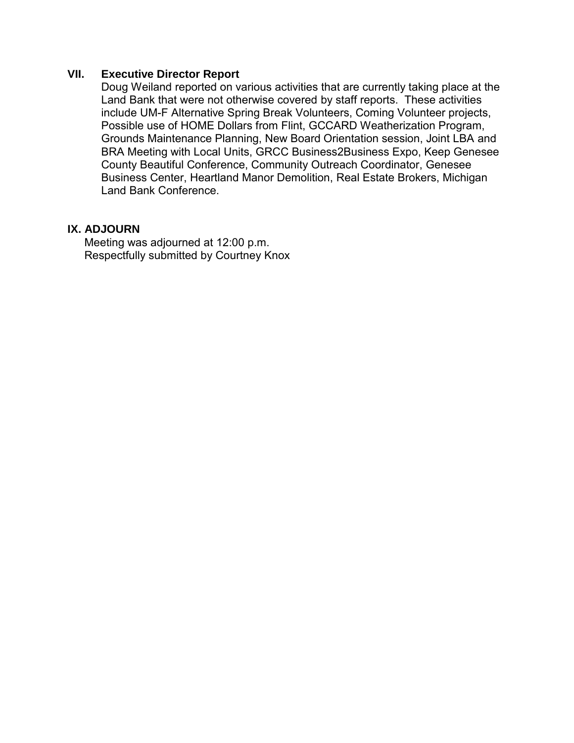# **VII. Executive Director Report**

Doug Weiland reported on various activities that are currently taking place at the Land Bank that were not otherwise covered by staff reports. These activities include UM-F Alternative Spring Break Volunteers, Coming Volunteer projects, Possible use of HOME Dollars from Flint, GCCARD Weatherization Program, Grounds Maintenance Planning, New Board Orientation session, Joint LBA and BRA Meeting with Local Units, GRCC Business2Business Expo, Keep Genesee County Beautiful Conference, Community Outreach Coordinator, Genesee Business Center, Heartland Manor Demolition, Real Estate Brokers, Michigan Land Bank Conference.

# **IX. ADJOURN**

Meeting was adjourned at 12:00 p.m. Respectfully submitted by Courtney Knox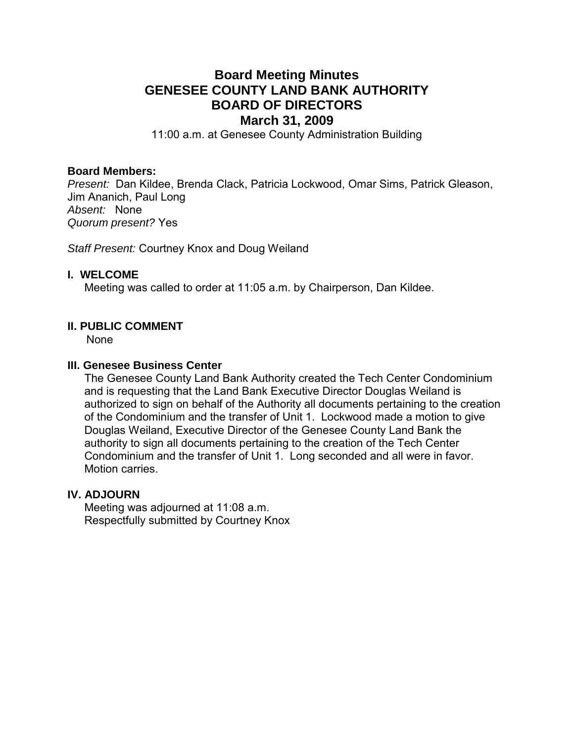# **Board Meeting Minutes GENESEE COUNTY LAND BANK AUTHORITY BOARD OF DIRECTORS March 31, 2009**

11:00 a.m. at Genesee County Administration Building

#### **Board Members:**

*Present:* Dan Kildee, Brenda Clack, Patricia Lockwood, Omar Sims, Patrick Gleason, Jim Ananich, Paul Long *Absent:* None *Quorum present?* Yes

*Staff Present:* Courtney Knox and Doug Weiland

#### **I. WELCOME**

Meeting was called to order at 11:05 a.m. by Chairperson, Dan Kildee.

## **II. PUBLIC COMMENT**

None

#### **III. Genesee Business Center**

The Genesee County Land Bank Authority created the Tech Center Condominium and is requesting that the Land Bank Executive Director Douglas Weiland is authorized to sign on behalf of the Authority all documents pertaining to the creation of the Condominium and the transfer of Unit 1. Lockwood made a motion to give Douglas Weiland, Executive Director of the Genesee County Land Bank the authority to sign all documents pertaining to the creation of the Tech Center Condominium and the transfer of Unit 1. Long seconded and all were in favor. Motion carries.

#### **IV. ADJOURN**

Meeting was adjourned at 11:08 a.m. Respectfully submitted by Courtney Knox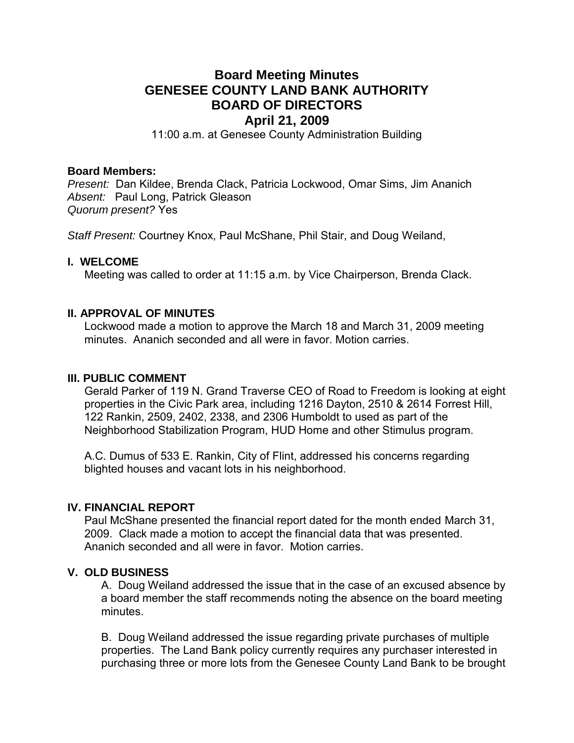# **Board Meeting Minutes GENESEE COUNTY LAND BANK AUTHORITY BOARD OF DIRECTORS April 21, 2009**

11:00 a.m. at Genesee County Administration Building

## **Board Members:**

*Present:* Dan Kildee, Brenda Clack, Patricia Lockwood, Omar Sims, Jim Ananich *Absent:* Paul Long, Patrick Gleason *Quorum present?* Yes

*Staff Present:* Courtney Knox, Paul McShane, Phil Stair, and Doug Weiland,

## **I. WELCOME**

Meeting was called to order at 11:15 a.m. by Vice Chairperson, Brenda Clack.

## **II. APPROVAL OF MINUTES**

Lockwood made a motion to approve the March 18 and March 31, 2009 meeting minutes. Ananich seconded and all were in favor. Motion carries.

## **III. PUBLIC COMMENT**

Gerald Parker of 119 N. Grand Traverse CEO of Road to Freedom is looking at eight properties in the Civic Park area, including 1216 Dayton, 2510 & 2614 Forrest Hill, 122 Rankin, 2509, 2402, 2338, and 2306 Humboldt to used as part of the Neighborhood Stabilization Program, HUD Home and other Stimulus program.

A.C. Dumus of 533 E. Rankin, City of Flint, addressed his concerns regarding blighted houses and vacant lots in his neighborhood.

# **IV. FINANCIAL REPORT**

Paul McShane presented the financial report dated for the month ended March 31, 2009. Clack made a motion to accept the financial data that was presented. Ananich seconded and all were in favor. Motion carries.

# **V. OLD BUSINESS**

A. Doug Weiland addressed the issue that in the case of an excused absence by a board member the staff recommends noting the absence on the board meeting minutes.

B. Doug Weiland addressed the issue regarding private purchases of multiple properties. The Land Bank policy currently requires any purchaser interested in purchasing three or more lots from the Genesee County Land Bank to be brought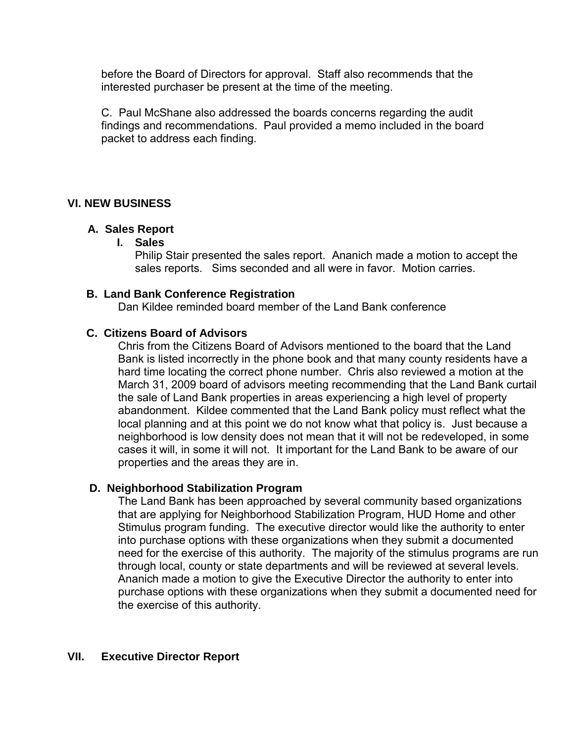before the Board of Directors for approval. Staff also recommends that the interested purchaser be present at the time of the meeting.

C. Paul McShane also addressed the boards concerns regarding the audit findings and recommendations. Paul provided a memo included in the board packet to address each finding.

# **VI. NEW BUSINESS**

## **A. Sales Report**

## **I. Sales**

Philip Stair presented the sales report. Ananich made a motion to accept the sales reports. Sims seconded and all were in favor. Motion carries.

## **B. Land Bank Conference Registration**

Dan Kildee reminded board member of the Land Bank conference

## **C. Citizens Board of Advisors**

Chris from the Citizens Board of Advisors mentioned to the board that the Land Bank is listed incorrectly in the phone book and that many county residents have a hard time locating the correct phone number. Chris also reviewed a motion at the March 31, 2009 board of advisors meeting recommending that the Land Bank curtail the sale of Land Bank properties in areas experiencing a high level of property abandonment. Kildee commented that the Land Bank policy must reflect what the local planning and at this point we do not know what that policy is. Just because a neighborhood is low density does not mean that it will not be redeveloped, in some cases it will, in some it will not. It important for the Land Bank to be aware of our properties and the areas they are in.

# **D. Neighborhood Stabilization Program**

The Land Bank has been approached by several community based organizations that are applying for Neighborhood Stabilization Program, HUD Home and other Stimulus program funding. The executive director would like the authority to enter into purchase options with these organizations when they submit a documented need for the exercise of this authority. The majority of the stimulus programs are run through local, county or state departments and will be reviewed at several levels. Ananich made a motion to give the Executive Director the authority to enter into purchase options with these organizations when they submit a documented need for the exercise of this authority.

# **VII. Executive Director Report**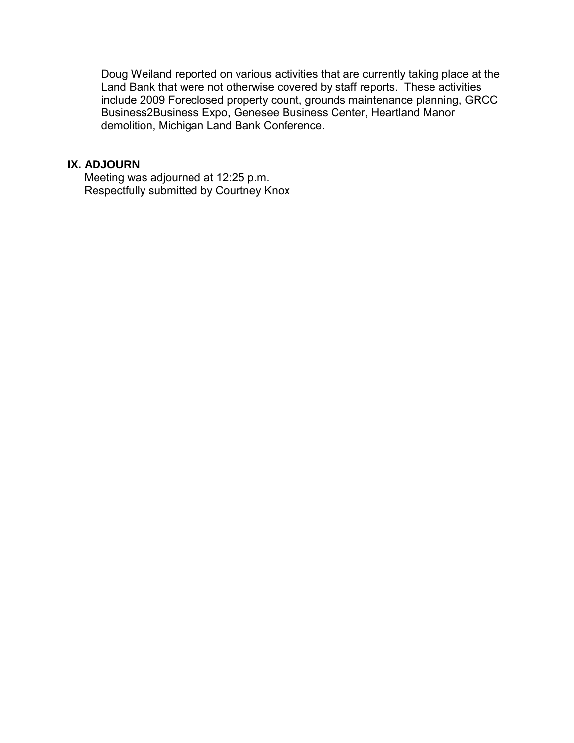Doug Weiland reported on various activities that are currently taking place at the Land Bank that were not otherwise covered by staff reports. These activities include 2009 Foreclosed property count, grounds maintenance planning, GRCC Business2Business Expo, Genesee Business Center, Heartland Manor demolition, Michigan Land Bank Conference.

## **IX. ADJOURN**

Meeting was adjourned at 12:25 p.m. Respectfully submitted by Courtney Knox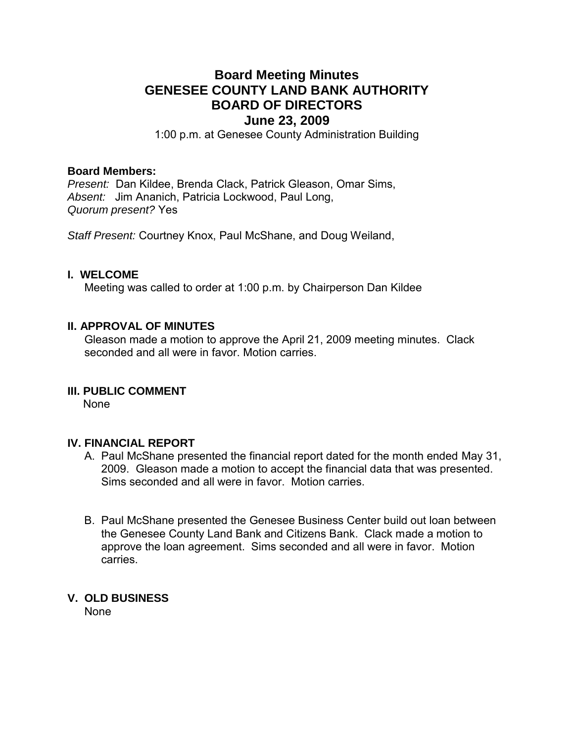# **Board Meeting Minutes GENESEE COUNTY LAND BANK AUTHORITY BOARD OF DIRECTORS June 23, 2009**

1:00 p.m. at Genesee County Administration Building

#### **Board Members:**

*Present:* Dan Kildee, Brenda Clack, Patrick Gleason, Omar Sims, *Absent:* Jim Ananich, Patricia Lockwood, Paul Long, *Quorum present?* Yes

*Staff Present:* Courtney Knox, Paul McShane, and Doug Weiland,

## **I. WELCOME**

Meeting was called to order at 1:00 p.m. by Chairperson Dan Kildee

## **II. APPROVAL OF MINUTES**

Gleason made a motion to approve the April 21, 2009 meeting minutes. Clack seconded and all were in favor. Motion carries

#### **III. PUBLIC COMMENT**

None

## **IV. FINANCIAL REPORT**

- A. Paul McShane presented the financial report dated for the month ended May 31, 2009. Gleason made a motion to accept the financial data that was presented. Sims seconded and all were in favor. Motion carries.
- B. Paul McShane presented the Genesee Business Center build out loan between the Genesee County Land Bank and Citizens Bank. Clack made a motion to approve the loan agreement. Sims seconded and all were in favor. Motion carries.

## **V. OLD BUSINESS**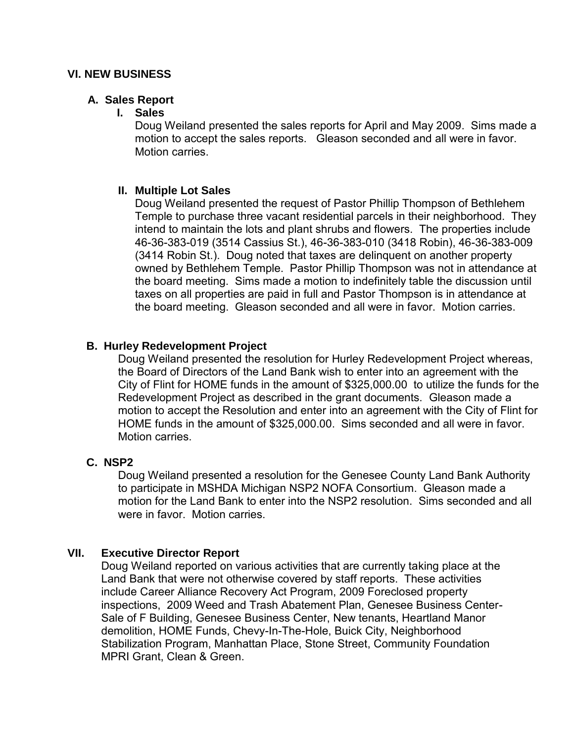## **A. Sales Report**

## **I. Sales**

Doug Weiland presented the sales reports for April and May 2009. Sims made a motion to accept the sales reports. Gleason seconded and all were in favor. Motion carries.

# **II. Multiple Lot Sales**

Doug Weiland presented the request of Pastor Phillip Thompson of Bethlehem Temple to purchase three vacant residential parcels in their neighborhood. They intend to maintain the lots and plant shrubs and flowers. The properties include 46-36-383-019 (3514 Cassius St.), 46-36-383-010 (3418 Robin), 46-36-383-009 (3414 Robin St.). Doug noted that taxes are delinquent on another property owned by Bethlehem Temple. Pastor Phillip Thompson was not in attendance at the board meeting. Sims made a motion to indefinitely table the discussion until taxes on all properties are paid in full and Pastor Thompson is in attendance at the board meeting. Gleason seconded and all were in favor. Motion carries.

# **B. Hurley Redevelopment Project**

Doug Weiland presented the resolution for Hurley Redevelopment Project whereas, the Board of Directors of the Land Bank wish to enter into an agreement with the City of Flint for HOME funds in the amount of \$325,000.00 to utilize the funds for the Redevelopment Project as described in the grant documents. Gleason made a motion to accept the Resolution and enter into an agreement with the City of Flint for HOME funds in the amount of \$325,000.00. Sims seconded and all were in favor. Motion carries.

# **C. NSP2**

Doug Weiland presented a resolution for the Genesee County Land Bank Authority to participate in MSHDA Michigan NSP2 NOFA Consortium. Gleason made a motion for the Land Bank to enter into the NSP2 resolution. Sims seconded and all were in favor. Motion carries

# **VII. Executive Director Report**

Doug Weiland reported on various activities that are currently taking place at the Land Bank that were not otherwise covered by staff reports. These activities include Career Alliance Recovery Act Program, 2009 Foreclosed property inspections, 2009 Weed and Trash Abatement Plan, Genesee Business Center-Sale of F Building, Genesee Business Center, New tenants, Heartland Manor demolition, HOME Funds, Chevy-In-The-Hole, Buick City, Neighborhood Stabilization Program, Manhattan Place, Stone Street, Community Foundation MPRI Grant, Clean & Green.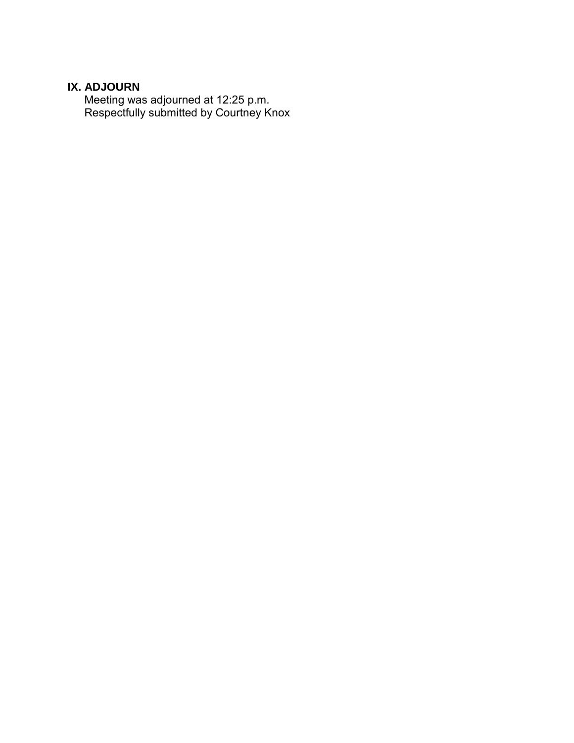# **IX. ADJOURN**

Meeting was adjourned at 12:25 p.m. Respectfully submitted by Courtney Knox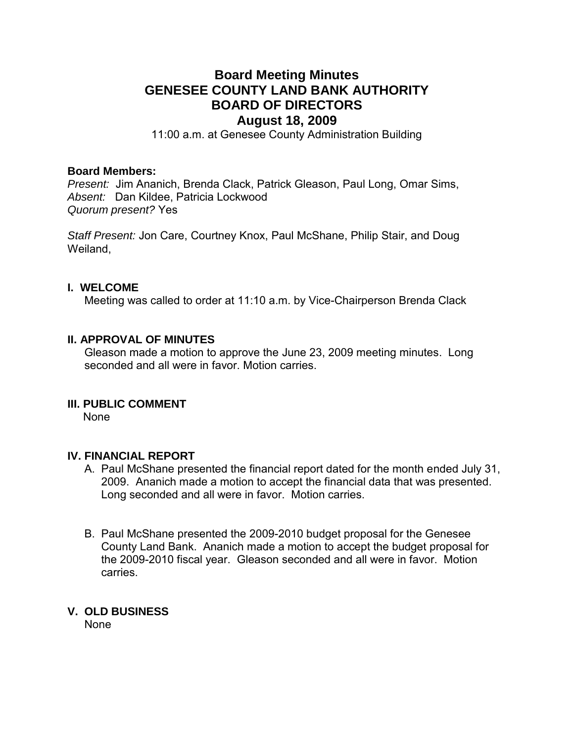# **Board Meeting Minutes GENESEE COUNTY LAND BANK AUTHORITY BOARD OF DIRECTORS August 18, 2009**

11:00 a.m. at Genesee County Administration Building

## **Board Members:**

*Present:* Jim Ananich, Brenda Clack, Patrick Gleason, Paul Long, Omar Sims, *Absent:* Dan Kildee, Patricia Lockwood *Quorum present?* Yes

*Staff Present:* Jon Care, Courtney Knox, Paul McShane, Philip Stair, and Doug Weiland,

#### **I. WELCOME**

Meeting was called to order at 11:10 a.m. by Vice-Chairperson Brenda Clack

## **II. APPROVAL OF MINUTES**

Gleason made a motion to approve the June 23, 2009 meeting minutes. Long seconded and all were in favor. Motion carries.

## **III. PUBLIC COMMENT**

None

## **IV. FINANCIAL REPORT**

- A. Paul McShane presented the financial report dated for the month ended July 31, 2009. Ananich made a motion to accept the financial data that was presented. Long seconded and all were in favor. Motion carries.
- B. Paul McShane presented the 2009-2010 budget proposal for the Genesee County Land Bank. Ananich made a motion to accept the budget proposal for the 2009-2010 fiscal year. Gleason seconded and all were in favor. Motion carries.

## **V. OLD BUSINESS**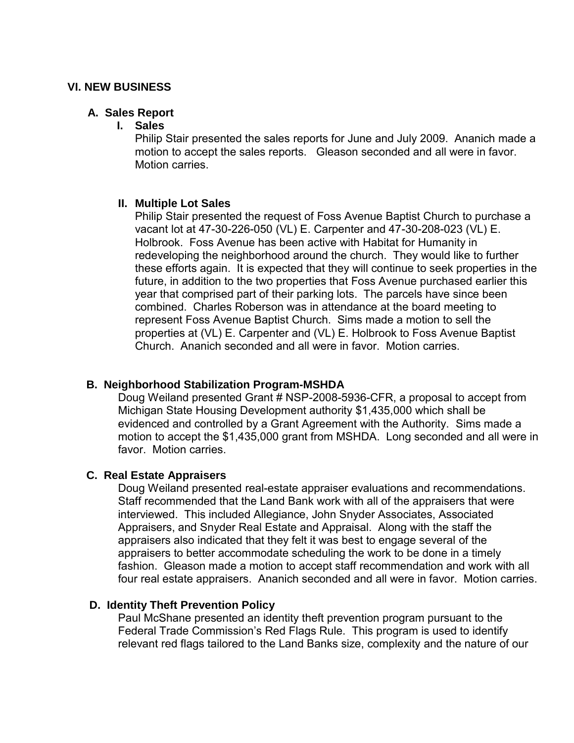## **A. Sales Report**

## **I. Sales**

Philip Stair presented the sales reports for June and July 2009. Ananich made a motion to accept the sales reports. Gleason seconded and all were in favor. Motion carries.

# **II. Multiple Lot Sales**

Philip Stair presented the request of Foss Avenue Baptist Church to purchase a vacant lot at 47-30-226-050 (VL) E. Carpenter and 47-30-208-023 (VL) E. Holbrook. Foss Avenue has been active with Habitat for Humanity in redeveloping the neighborhood around the church. They would like to further these efforts again. It is expected that they will continue to seek properties in the future, in addition to the two properties that Foss Avenue purchased earlier this year that comprised part of their parking lots. The parcels have since been combined. Charles Roberson was in attendance at the board meeting to represent Foss Avenue Baptist Church. Sims made a motion to sell the properties at (VL) E. Carpenter and (VL) E. Holbrook to Foss Avenue Baptist Church. Ananich seconded and all were in favor. Motion carries.

# **B. Neighborhood Stabilization Program-MSHDA**

Doug Weiland presented Grant # NSP-2008-5936-CFR, a proposal to accept from Michigan State Housing Development authority \$1,435,000 which shall be evidenced and controlled by a Grant Agreement with the Authority. Sims made a motion to accept the \$1,435,000 grant from MSHDA. Long seconded and all were in favor. Motion carries.

# **C. Real Estate Appraisers**

Doug Weiland presented real-estate appraiser evaluations and recommendations. Staff recommended that the Land Bank work with all of the appraisers that were interviewed. This included Allegiance, John Snyder Associates, Associated Appraisers, and Snyder Real Estate and Appraisal. Along with the staff the appraisers also indicated that they felt it was best to engage several of the appraisers to better accommodate scheduling the work to be done in a timely fashion. Gleason made a motion to accept staff recommendation and work with all four real estate appraisers. Ananich seconded and all were in favor. Motion carries.

# **D. Identity Theft Prevention Policy**

Paul McShane presented an identity theft prevention program pursuant to the Federal Trade Commission's Red Flags Rule. This program is used to identify relevant red flags tailored to the Land Banks size, complexity and the nature of our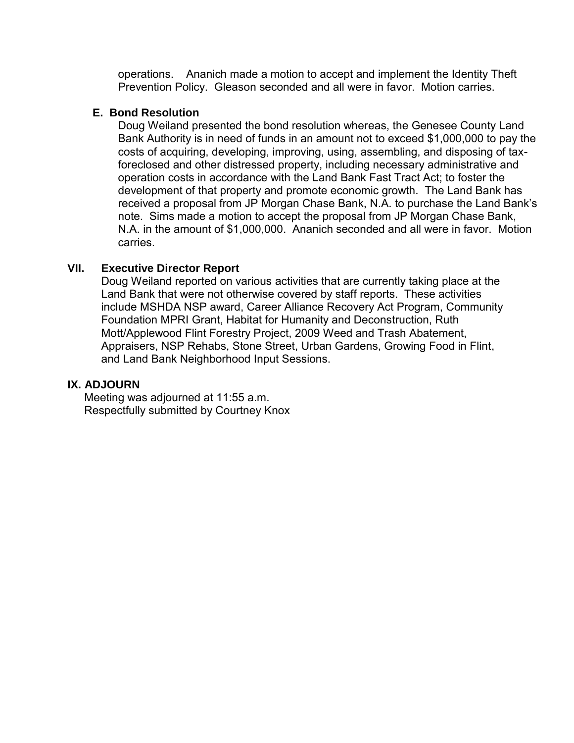operations. Ananich made a motion to accept and implement the Identity Theft Prevention Policy. Gleason seconded and all were in favor. Motion carries.

## **E. Bond Resolution**

Doug Weiland presented the bond resolution whereas, the Genesee County Land Bank Authority is in need of funds in an amount not to exceed \$1,000,000 to pay the costs of acquiring, developing, improving, using, assembling, and disposing of taxforeclosed and other distressed property, including necessary administrative and operation costs in accordance with the Land Bank Fast Tract Act; to foster the development of that property and promote economic growth. The Land Bank has received a proposal from JP Morgan Chase Bank, N.A. to purchase the Land Bank's note. Sims made a motion to accept the proposal from JP Morgan Chase Bank, N.A. in the amount of \$1,000,000. Ananich seconded and all were in favor. Motion carries.

# **VII. Executive Director Report**

Doug Weiland reported on various activities that are currently taking place at the Land Bank that were not otherwise covered by staff reports. These activities include MSHDA NSP award, Career Alliance Recovery Act Program, Community Foundation MPRI Grant, Habitat for Humanity and Deconstruction, Ruth Mott/Applewood Flint Forestry Project, 2009 Weed and Trash Abatement, Appraisers, NSP Rehabs, Stone Street, Urban Gardens, Growing Food in Flint, and Land Bank Neighborhood Input Sessions.

# **IX. ADJOURN**

Meeting was adjourned at 11:55 a.m. Respectfully submitted by Courtney Knox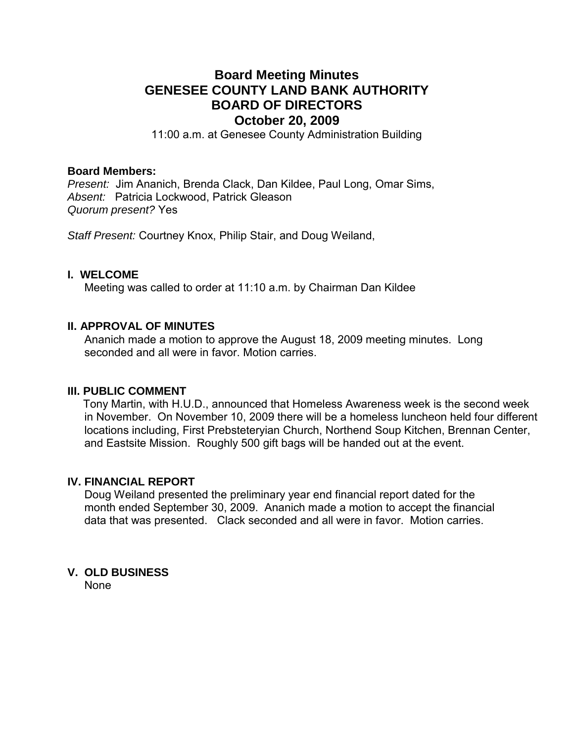# **Board Meeting Minutes GENESEE COUNTY LAND BANK AUTHORITY BOARD OF DIRECTORS October 20, 2009**

11:00 a.m. at Genesee County Administration Building

#### **Board Members:**

*Present:* Jim Ananich, Brenda Clack, Dan Kildee, Paul Long, Omar Sims, *Absent:* Patricia Lockwood, Patrick Gleason *Quorum present?* Yes

*Staff Present:* Courtney Knox, Philip Stair, and Doug Weiland,

## **I. WELCOME**

Meeting was called to order at 11:10 a.m. by Chairman Dan Kildee

## **II. APPROVAL OF MINUTES**

Ananich made a motion to approve the August 18, 2009 meeting minutes. Long seconded and all were in favor. Motion carries

#### **III. PUBLIC COMMENT**

 Tony Martin, with H.U.D., announced that Homeless Awareness week is the second week in November. On November 10, 2009 there will be a homeless luncheon held four different locations including, First Prebsteteryian Church, Northend Soup Kitchen, Brennan Center, and Eastsite Mission. Roughly 500 gift bags will be handed out at the event.

# **IV. FINANCIAL REPORT**

Doug Weiland presented the preliminary year end financial report dated for the month ended September 30, 2009. Ananich made a motion to accept the financial data that was presented. Clack seconded and all were in favor. Motion carries.

## **V. OLD BUSINESS**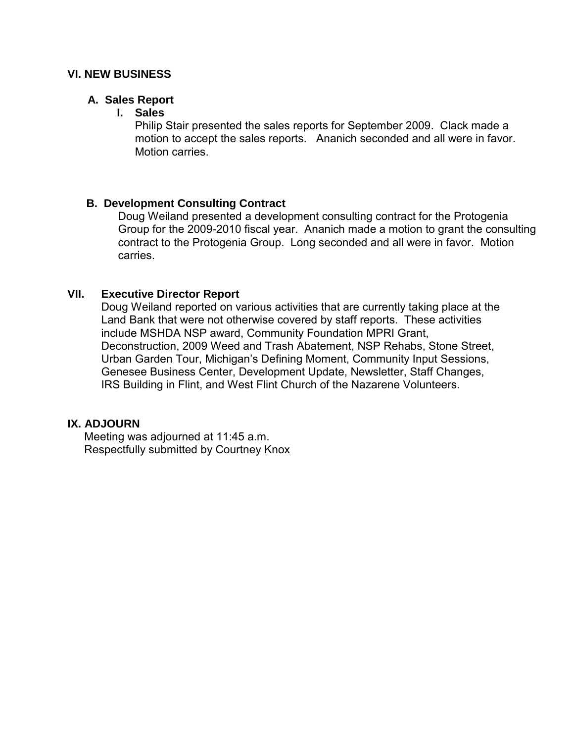## **A. Sales Report**

## **I. Sales**

Philip Stair presented the sales reports for September 2009. Clack made a motion to accept the sales reports. Ananich seconded and all were in favor. Motion carries.

## **B. Development Consulting Contract**

Doug Weiland presented a development consulting contract for the Protogenia Group for the 2009-2010 fiscal year. Ananich made a motion to grant the consulting contract to the Protogenia Group. Long seconded and all were in favor. Motion carries.

# **VII. Executive Director Report**

Doug Weiland reported on various activities that are currently taking place at the Land Bank that were not otherwise covered by staff reports. These activities include MSHDA NSP award, Community Foundation MPRI Grant, Deconstruction, 2009 Weed and Trash Abatement, NSP Rehabs, Stone Street, Urban Garden Tour, Michigan's Defining Moment, Community Input Sessions, Genesee Business Center, Development Update, Newsletter, Staff Changes, IRS Building in Flint, and West Flint Church of the Nazarene Volunteers.

# **IX. ADJOURN**

Meeting was adjourned at 11:45 a.m. Respectfully submitted by Courtney Knox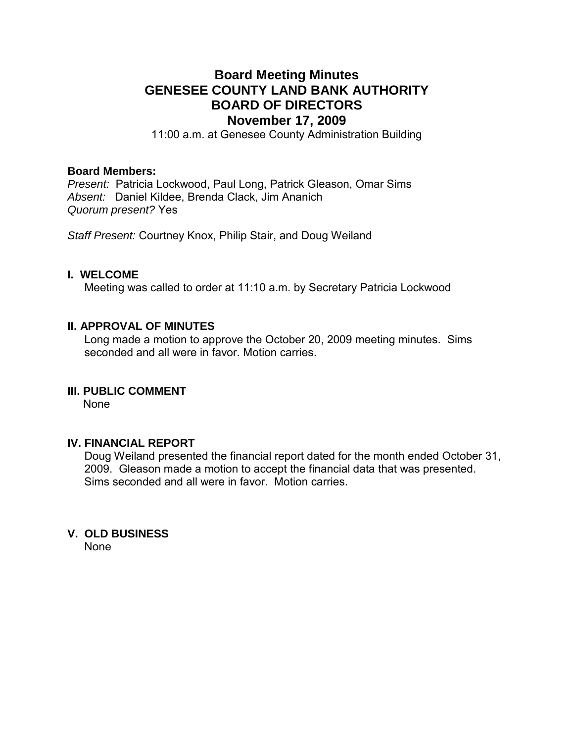# **Board Meeting Minutes GENESEE COUNTY LAND BANK AUTHORITY BOARD OF DIRECTORS November 17, 2009**

11:00 a.m. at Genesee County Administration Building

#### **Board Members:**

*Present:* Patricia Lockwood, Paul Long, Patrick Gleason, Omar Sims *Absent:* Daniel Kildee, Brenda Clack, Jim Ananich *Quorum present?* Yes

*Staff Present:* Courtney Knox, Philip Stair, and Doug Weiland

## **I. WELCOME**

Meeting was called to order at 11:10 a.m. by Secretary Patricia Lockwood

## **II. APPROVAL OF MINUTES**

Long made a motion to approve the October 20, 2009 meeting minutes. Sims seconded and all were in favor. Motion carries

## **III. PUBLIC COMMENT**

None

## **IV. FINANCIAL REPORT**

Doug Weiland presented the financial report dated for the month ended October 31, 2009. Gleason made a motion to accept the financial data that was presented. Sims seconded and all were in favor. Motion carries.

## **V. OLD BUSINESS**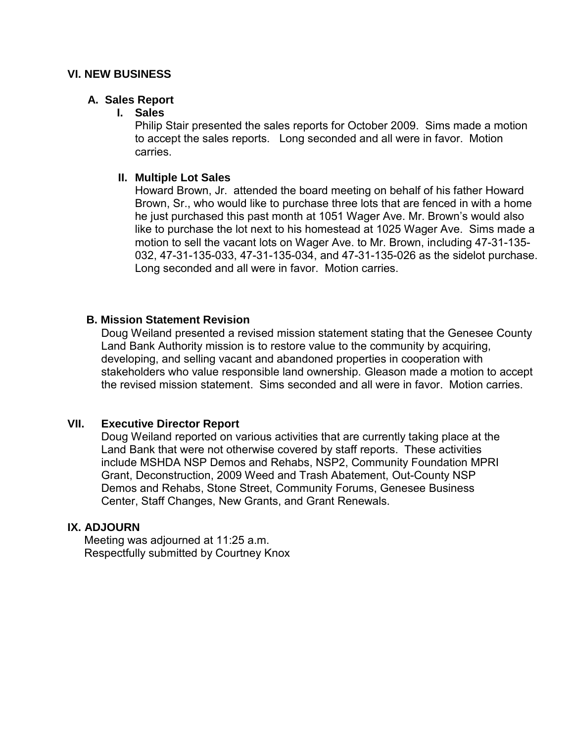## **A. Sales Report**

## **I. Sales**

Philip Stair presented the sales reports for October 2009. Sims made a motion to accept the sales reports. Long seconded and all were in favor. Motion carries.

## **II. Multiple Lot Sales**

Howard Brown, Jr. attended the board meeting on behalf of his father Howard Brown, Sr., who would like to purchase three lots that are fenced in with a home he just purchased this past month at 1051 Wager Ave. Mr. Brown's would also like to purchase the lot next to his homestead at 1025 Wager Ave. Sims made a motion to sell the vacant lots on Wager Ave. to Mr. Brown, including 47-31-135- 032, 47-31-135-033, 47-31-135-034, and 47-31-135-026 as the sidelot purchase. Long seconded and all were in favor. Motion carries.

# **B. Mission Statement Revision**

Doug Weiland presented a revised mission statement stating that the Genesee County Land Bank Authority mission is to restore value to the community by acquiring, developing, and selling vacant and abandoned properties in cooperation with stakeholders who value responsible land ownership. Gleason made a motion to accept the revised mission statement. Sims seconded and all were in favor. Motion carries.

# **VII. Executive Director Report**

Doug Weiland reported on various activities that are currently taking place at the Land Bank that were not otherwise covered by staff reports. These activities include MSHDA NSP Demos and Rehabs, NSP2, Community Foundation MPRI Grant, Deconstruction, 2009 Weed and Trash Abatement, Out-County NSP Demos and Rehabs, Stone Street, Community Forums, Genesee Business Center, Staff Changes, New Grants, and Grant Renewals.

# **IX. ADJOURN**

Meeting was adjourned at 11:25 a.m. Respectfully submitted by Courtney Knox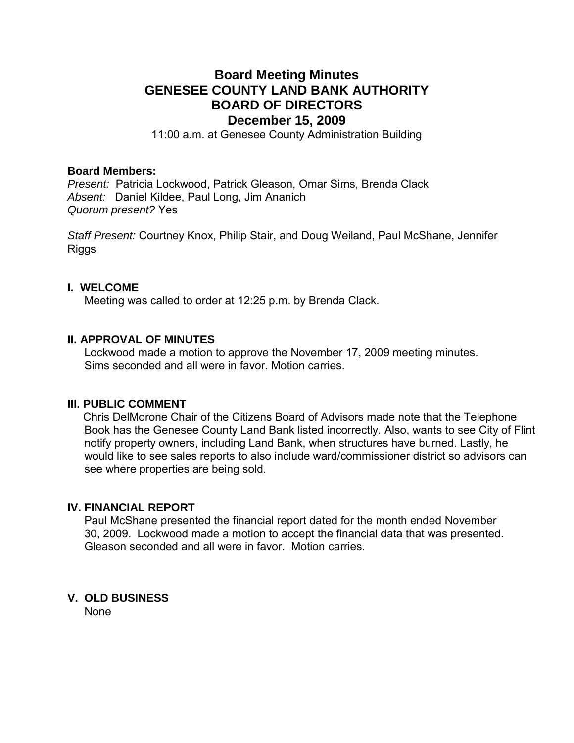# **Board Meeting Minutes GENESEE COUNTY LAND BANK AUTHORITY BOARD OF DIRECTORS December 15, 2009**

11:00 a.m. at Genesee County Administration Building

## **Board Members:**

*Present:* Patricia Lockwood, Patrick Gleason, Omar Sims, Brenda Clack *Absent:* Daniel Kildee, Paul Long, Jim Ananich *Quorum present?* Yes

*Staff Present:* Courtney Knox, Philip Stair, and Doug Weiland, Paul McShane, Jennifer **Riggs** 

#### **I. WELCOME**

Meeting was called to order at 12:25 p.m. by Brenda Clack.

## **II. APPROVAL OF MINUTES**

Lockwood made a motion to approve the November 17, 2009 meeting minutes. Sims seconded and all were in favor. Motion carries.

## **III. PUBLIC COMMENT**

 Chris DelMorone Chair of the Citizens Board of Advisors made note that the Telephone Book has the Genesee County Land Bank listed incorrectly. Also, wants to see City of Flint notify property owners, including Land Bank, when structures have burned. Lastly, he would like to see sales reports to also include ward/commissioner district so advisors can see where properties are being sold.

## **IV. FINANCIAL REPORT**

Paul McShane presented the financial report dated for the month ended November 30, 2009. Lockwood made a motion to accept the financial data that was presented. Gleason seconded and all were in favor. Motion carries.

## **V. OLD BUSINESS**